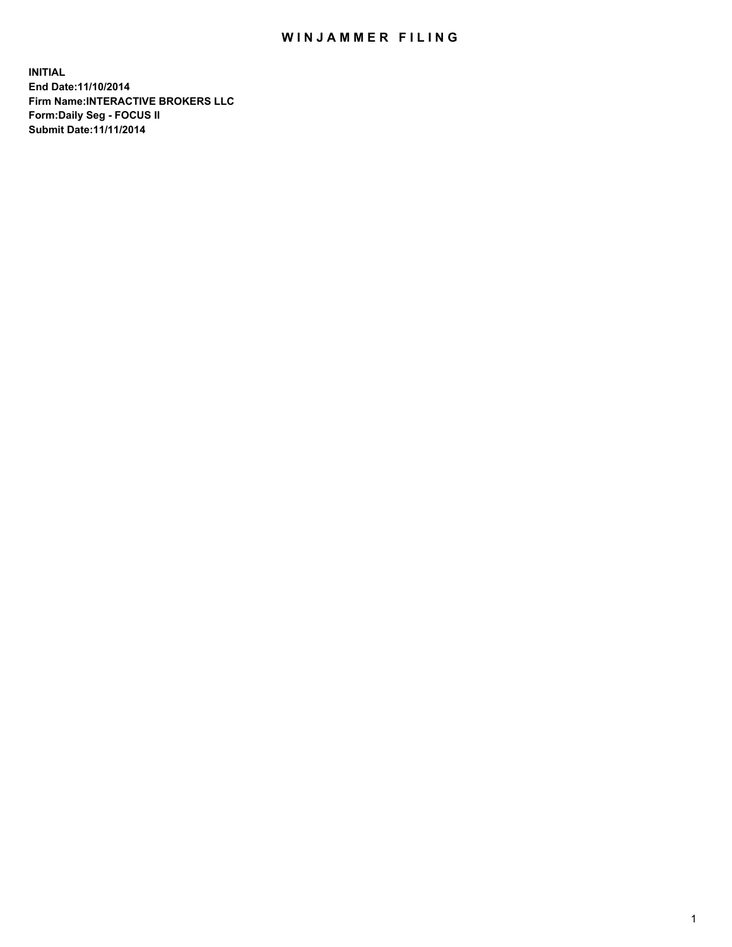## WIN JAMMER FILING

**INITIAL End Date:11/10/2014 Firm Name:INTERACTIVE BROKERS LLC Form:Daily Seg - FOCUS II Submit Date:11/11/2014**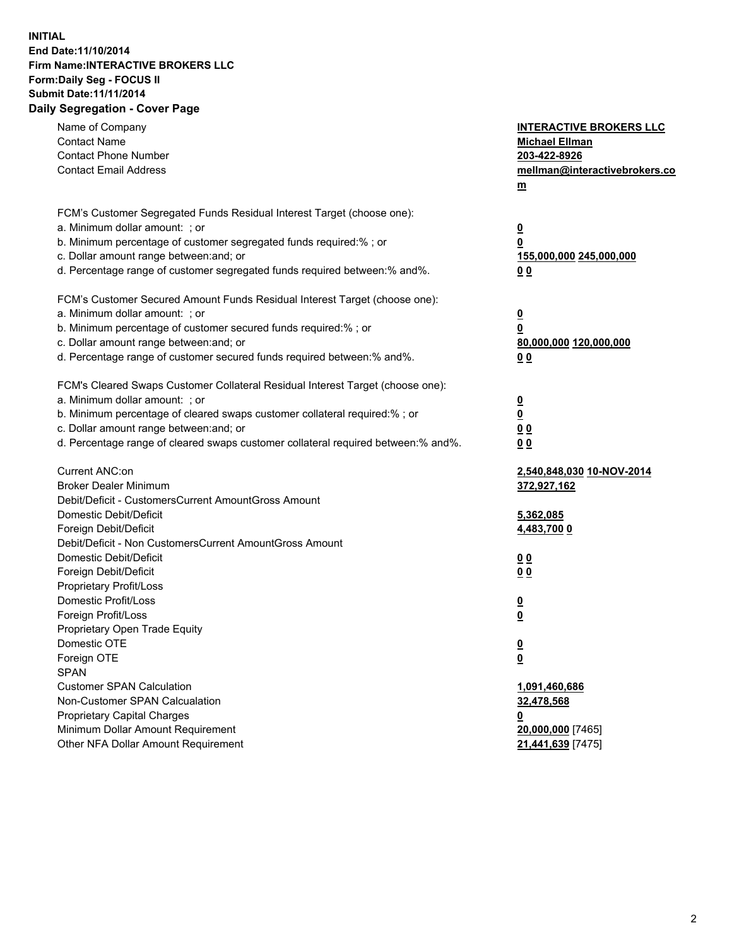## **INITIAL End Date:11/10/2014 Firm Name:INTERACTIVE BROKERS LLC Form:Daily Seg - FOCUS II Submit Date:11/11/2014 Daily Segregation - Cover Page**

| Name of Company<br><b>Contact Name</b><br><b>Contact Phone Number</b><br><b>Contact Email Address</b>                                                                                                                                                                                                                          | <b>INTERACTIVE BROKERS LLC</b><br><b>Michael Ellman</b><br>203-422-8926<br>mellman@interactivebrokers.co<br>$\underline{\mathbf{m}}$ |
|--------------------------------------------------------------------------------------------------------------------------------------------------------------------------------------------------------------------------------------------------------------------------------------------------------------------------------|--------------------------------------------------------------------------------------------------------------------------------------|
| FCM's Customer Segregated Funds Residual Interest Target (choose one):<br>a. Minimum dollar amount: ; or<br>b. Minimum percentage of customer segregated funds required:% ; or<br>c. Dollar amount range between: and; or<br>d. Percentage range of customer segregated funds required between:% and%.                         | <u>0</u><br>0<br><u>155,000,000 245,000,000</u><br>00                                                                                |
| FCM's Customer Secured Amount Funds Residual Interest Target (choose one):<br>a. Minimum dollar amount: ; or<br>b. Minimum percentage of customer secured funds required:% ; or<br>c. Dollar amount range between: and; or<br>d. Percentage range of customer secured funds required between:% and%.                           | <u>0</u><br>0<br>80,000,000 120,000,000<br>0 <sub>0</sub>                                                                            |
| FCM's Cleared Swaps Customer Collateral Residual Interest Target (choose one):<br>a. Minimum dollar amount: ; or<br>b. Minimum percentage of cleared swaps customer collateral required:% ; or<br>c. Dollar amount range between: and; or<br>d. Percentage range of cleared swaps customer collateral required between:% and%. | $\overline{\mathbf{0}}$<br>$\overline{\mathbf{0}}$<br>0 <sub>0</sub><br>0 <sub>0</sub>                                               |
| Current ANC:on<br><b>Broker Dealer Minimum</b><br>Debit/Deficit - CustomersCurrent AmountGross Amount<br>Domestic Debit/Deficit<br>Foreign Debit/Deficit                                                                                                                                                                       | 2,540,848,030 10-NOV-2014<br>372,927,162<br>5,362,085<br>4,483,700 0                                                                 |
| Debit/Deficit - Non CustomersCurrent AmountGross Amount<br>Domestic Debit/Deficit<br>Foreign Debit/Deficit<br>Proprietary Profit/Loss<br>Domestic Profit/Loss<br>Foreign Profit/Loss                                                                                                                                           | 0 <sub>0</sub><br>0 <sub>0</sub><br><u>0</u><br>$\underline{\mathbf{0}}$                                                             |
| Proprietary Open Trade Equity<br>Domestic OTE<br>Foreign OTE<br><b>SPAN</b><br><b>Customer SPAN Calculation</b><br>Non-Customer SPAN Calcualation                                                                                                                                                                              | <u>0</u><br><u>0</u><br>1,091,460,686<br>32,478,568                                                                                  |
| <b>Proprietary Capital Charges</b><br>Minimum Dollar Amount Requirement<br>Other NFA Dollar Amount Requirement                                                                                                                                                                                                                 | <u>0</u><br>20,000,000 [7465]<br>21,441,639 [7475]                                                                                   |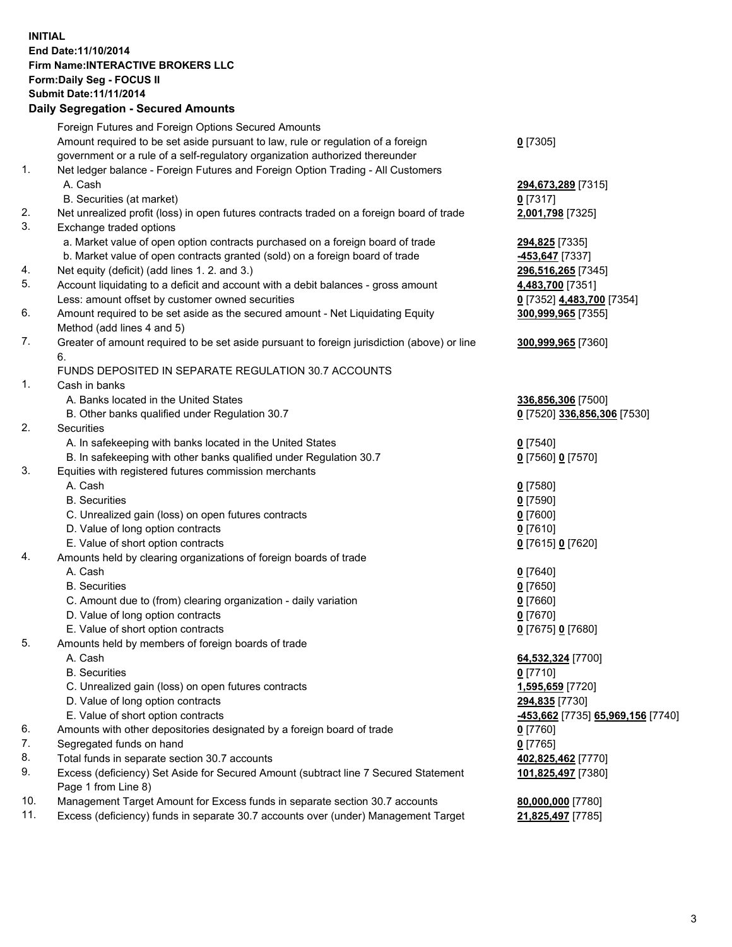## **INITIAL End Date:11/10/2014 Firm Name:INTERACTIVE BROKERS LLC Form:Daily Seg - FOCUS II Submit Date:11/11/2014 Daily Segregation - Secured Amounts**

|                | Daily Ocglegation - Occarea Anioants                                                        |                                   |
|----------------|---------------------------------------------------------------------------------------------|-----------------------------------|
|                | Foreign Futures and Foreign Options Secured Amounts                                         |                                   |
|                | Amount required to be set aside pursuant to law, rule or regulation of a foreign            | $0$ [7305]                        |
|                | government or a rule of a self-regulatory organization authorized thereunder                |                                   |
| 1.             | Net ledger balance - Foreign Futures and Foreign Option Trading - All Customers             |                                   |
|                | A. Cash                                                                                     | 294,673,289 [7315]                |
|                | B. Securities (at market)                                                                   | $0$ [7317]                        |
| 2.             | Net unrealized profit (loss) in open futures contracts traded on a foreign board of trade   | 2,001,798 [7325]                  |
| 3.             | Exchange traded options                                                                     |                                   |
|                | a. Market value of open option contracts purchased on a foreign board of trade              | 294,825 [7335]                    |
|                | b. Market value of open contracts granted (sold) on a foreign board of trade                | -453,647 [7337]                   |
| 4.             | Net equity (deficit) (add lines 1.2. and 3.)                                                | 296,516,265 [7345]                |
| 5.             | Account liquidating to a deficit and account with a debit balances - gross amount           | 4,483,700 [7351]                  |
|                | Less: amount offset by customer owned securities                                            | 0 [7352] 4,483,700 [7354]         |
| 6.             | Amount required to be set aside as the secured amount - Net Liquidating Equity              | 300,999,965 [7355]                |
|                | Method (add lines 4 and 5)                                                                  |                                   |
| 7.             | Greater of amount required to be set aside pursuant to foreign jurisdiction (above) or line | 300,999,965 [7360]                |
|                | 6.                                                                                          |                                   |
|                | FUNDS DEPOSITED IN SEPARATE REGULATION 30.7 ACCOUNTS                                        |                                   |
| $\mathbf{1}$ . | Cash in banks                                                                               |                                   |
|                | A. Banks located in the United States                                                       | 336,856,306 [7500]                |
|                | B. Other banks qualified under Regulation 30.7                                              | 0 [7520] 336,856,306 [7530]       |
| 2.             | Securities                                                                                  |                                   |
|                | A. In safekeeping with banks located in the United States                                   | $0$ [7540]                        |
|                | B. In safekeeping with other banks qualified under Regulation 30.7                          | 0 [7560] 0 [7570]                 |
| 3.             | Equities with registered futures commission merchants                                       |                                   |
|                | A. Cash                                                                                     | $0$ [7580]                        |
|                | <b>B.</b> Securities                                                                        | $0$ [7590]                        |
|                | C. Unrealized gain (loss) on open futures contracts                                         | $0$ [7600]                        |
|                | D. Value of long option contracts                                                           | $0$ [7610]                        |
|                | E. Value of short option contracts                                                          | 0 [7615] 0 [7620]                 |
| 4.             | Amounts held by clearing organizations of foreign boards of trade                           |                                   |
|                | A. Cash                                                                                     | $0$ [7640]                        |
|                | <b>B.</b> Securities                                                                        | $0$ [7650]                        |
|                | C. Amount due to (from) clearing organization - daily variation                             | $0$ [7660]                        |
|                | D. Value of long option contracts                                                           | $0$ [7670]                        |
|                | E. Value of short option contracts                                                          | 0 [7675] 0 [7680]                 |
| 5.             | Amounts held by members of foreign boards of trade                                          |                                   |
|                | A. Cash                                                                                     | 64,532,324 [7700]                 |
|                | <b>B.</b> Securities                                                                        | $0$ [7710]                        |
|                | C. Unrealized gain (loss) on open futures contracts                                         | 1,595,659 [7720]                  |
|                | D. Value of long option contracts                                                           | 294,835 [7730]                    |
|                | E. Value of short option contracts                                                          | -453,662 [7735] 65,969,156 [7740] |
| 6.             | Amounts with other depositories designated by a foreign board of trade                      | 0 [7760]                          |
| 7.             | Segregated funds on hand                                                                    | $0$ [7765]                        |
| 8.             | Total funds in separate section 30.7 accounts                                               | 402,825,462 [7770]                |
| 9.             | Excess (deficiency) Set Aside for Secured Amount (subtract line 7 Secured Statement         | 101,825,497 [7380]                |
|                | Page 1 from Line 8)                                                                         |                                   |
| 10.            | Management Target Amount for Excess funds in separate section 30.7 accounts                 | 80,000,000 [7780]                 |
| 11.            | Excess (deficiency) funds in separate 30.7 accounts over (under) Management Target          | 21,825,497 [7785]                 |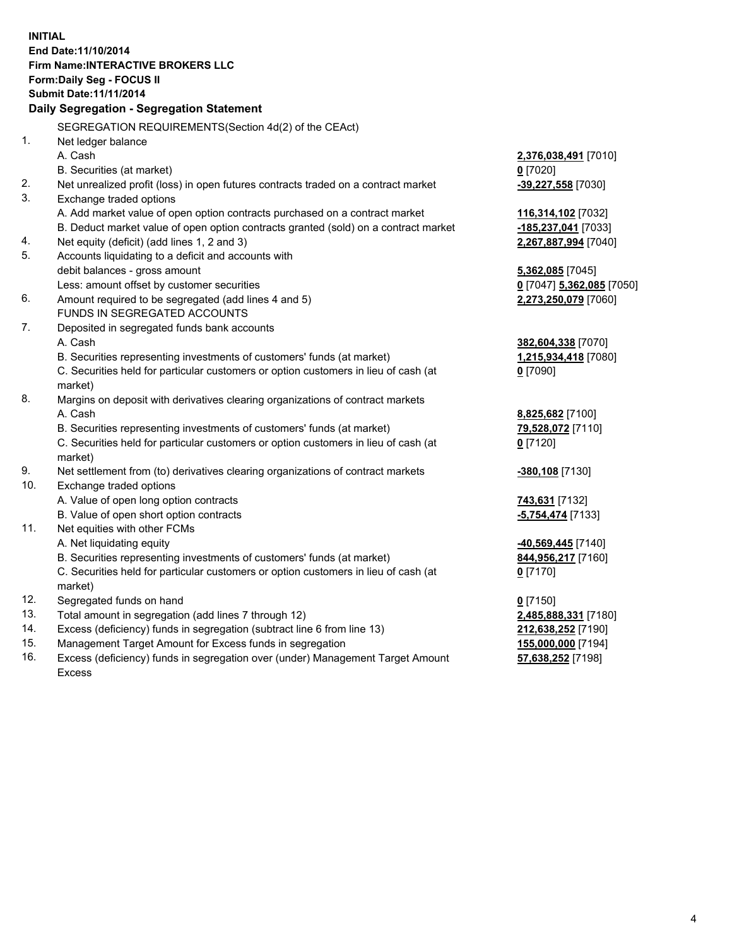**INITIAL End Date:11/10/2014 Firm Name:INTERACTIVE BROKERS LLC Form:Daily Seg - FOCUS II Submit Date:11/11/2014 Daily Segregation - Segregation Statement** SEGREGATION REQUIREMENTS(Section 4d(2) of the CEAct) 1. Net ledger balance A. Cash **2,376,038,491** [7010] B. Securities (at market) **0** [7020] 2. Net unrealized profit (loss) in open futures contracts traded on a contract market **-39,227,558** [7030] 3. Exchange traded options A. Add market value of open option contracts purchased on a contract market **116,314,102** [7032] B. Deduct market value of open option contracts granted (sold) on a contract market **-185,237,041** [7033] 4. Net equity (deficit) (add lines 1, 2 and 3) **2,267,887,994** [7040] 5. Accounts liquidating to a deficit and accounts with debit balances - gross amount **5,362,085** [7045] Less: amount offset by customer securities **0** [7047] **5,362,085** [7050] 6. Amount required to be segregated (add lines 4 and 5) **2,273,250,079** [7060] FUNDS IN SEGREGATED ACCOUNTS 7. Deposited in segregated funds bank accounts A. Cash **382,604,338** [7070] B. Securities representing investments of customers' funds (at market) **1,215,934,418** [7080] C. Securities held for particular customers or option customers in lieu of cash (at market) **0** [7090] 8. Margins on deposit with derivatives clearing organizations of contract markets A. Cash **8,825,682** [7100] B. Securities representing investments of customers' funds (at market) **79,528,072** [7110] C. Securities held for particular customers or option customers in lieu of cash (at market) **0** [7120] 9. Net settlement from (to) derivatives clearing organizations of contract markets **-380,108** [7130] 10. Exchange traded options A. Value of open long option contracts **743,631** [7132] B. Value of open short option contracts **-5,754,474** [7133] 11. Net equities with other FCMs A. Net liquidating equity **-40,569,445** [7140] B. Securities representing investments of customers' funds (at market) **844,956,217** [7160] C. Securities held for particular customers or option customers in lieu of cash (at market) **0** [7170] 12. Segregated funds on hand **0** [7150] 13. Total amount in segregation (add lines 7 through 12) **2,485,888,331** [7180] 14. Excess (deficiency) funds in segregation (subtract line 6 from line 13) **212,638,252** [7190] 15. Management Target Amount for Excess funds in segregation **155,000,000** [7194]

16. Excess (deficiency) funds in segregation over (under) Management Target Amount Excess

**57,638,252** [7198]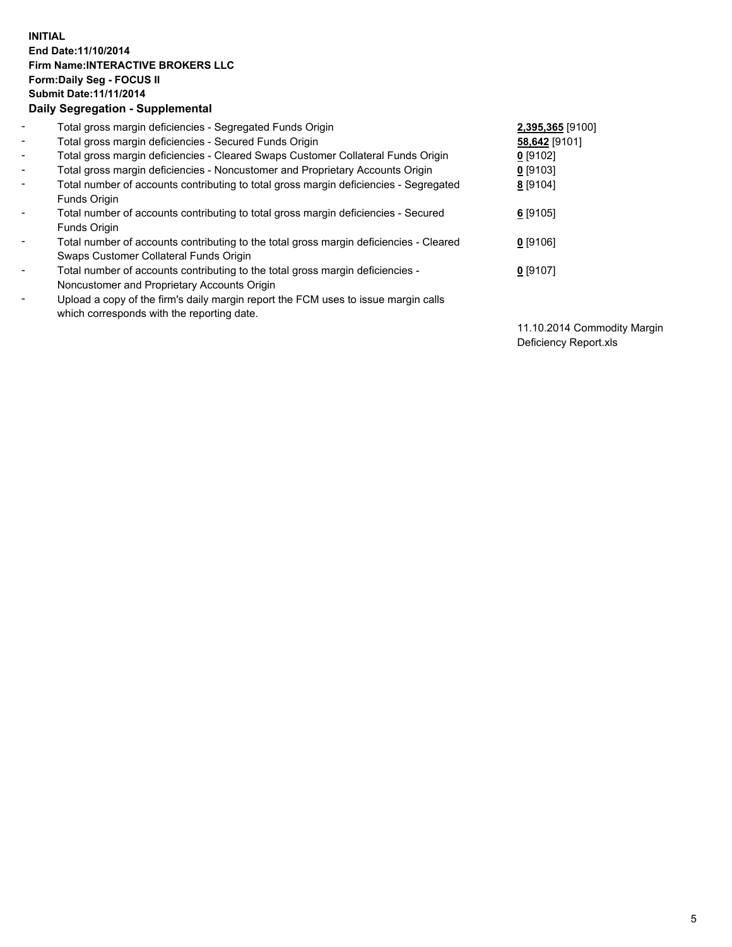## **INITIAL End Date:11/10/2014 Firm Name:INTERACTIVE BROKERS LLC Form:Daily Seg - FOCUS II Submit Date:11/11/2014 Daily Segregation - Supplemental**

| $\blacksquare$           | Total gross margin deficiencies - Segregated Funds Origin                              | 2,395,365 [9100] |
|--------------------------|----------------------------------------------------------------------------------------|------------------|
| $\blacksquare$           | Total gross margin deficiencies - Secured Funds Origin                                 | 58,642 [9101]    |
| $\blacksquare$           | Total gross margin deficiencies - Cleared Swaps Customer Collateral Funds Origin       | $0$ [9102]       |
| $\blacksquare$           | Total gross margin deficiencies - Noncustomer and Proprietary Accounts Origin          | 0 [9103]         |
| $\blacksquare$           | Total number of accounts contributing to total gross margin deficiencies - Segregated  | 8 [9104]         |
|                          | Funds Origin                                                                           |                  |
| $\sim$                   | Total number of accounts contributing to total gross margin deficiencies - Secured     | 6 [9105]         |
|                          | Funds Origin                                                                           |                  |
| $\overline{\phantom{a}}$ | Total number of accounts contributing to the total gross margin deficiencies - Cleared | $0$ [9106]       |
|                          | Swaps Customer Collateral Funds Origin                                                 |                  |
| $\blacksquare$           | Total number of accounts contributing to the total gross margin deficiencies -         | $0$ [9107]       |
|                          | Noncustomer and Proprietary Accounts Origin                                            |                  |
| $\blacksquare$           | Upload a copy of the firm's daily margin report the FCM uses to issue margin calls     |                  |
|                          | which corresponds with the reporting date.                                             |                  |

11.10.2014 Commodity Margin Deficiency Report.xls